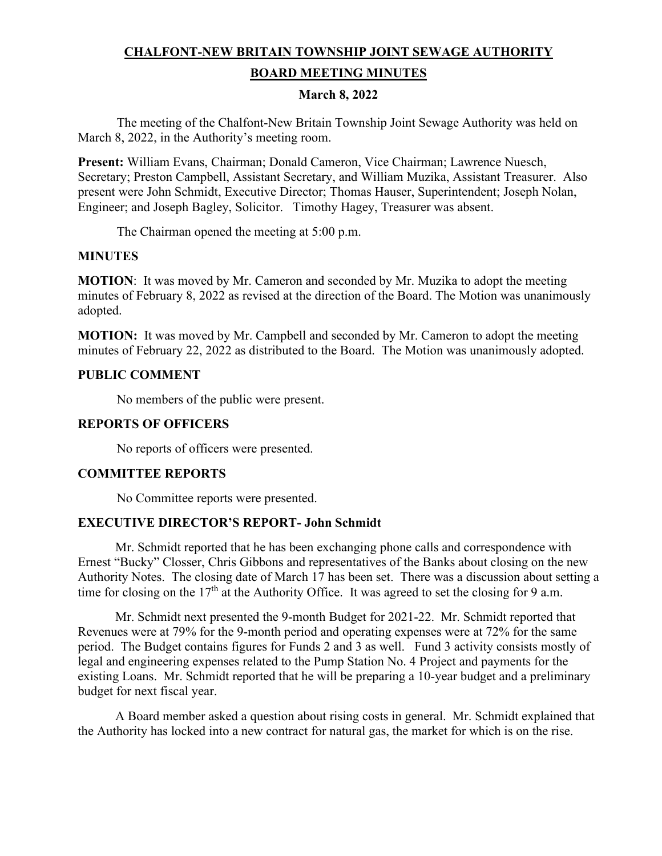# **CHALFONT-NEW BRITAIN TOWNSHIP JOINT SEWAGE AUTHORITY**

#### **BOARD MEETING MINUTES**

## **March 8, 2022**

The meeting of the Chalfont-New Britain Township Joint Sewage Authority was held on March 8, 2022, in the Authority's meeting room.

**Present:** William Evans, Chairman; Donald Cameron, Vice Chairman; Lawrence Nuesch, Secretary; Preston Campbell, Assistant Secretary, and William Muzika, Assistant Treasurer. Also present were John Schmidt, Executive Director; Thomas Hauser, Superintendent; Joseph Nolan, Engineer; and Joseph Bagley, Solicitor. Timothy Hagey, Treasurer was absent.

The Chairman opened the meeting at 5:00 p.m.

## **MINUTES**

**MOTION**: It was moved by Mr. Cameron and seconded by Mr. Muzika to adopt the meeting minutes of February 8, 2022 as revised at the direction of the Board. The Motion was unanimously adopted.

**MOTION:** It was moved by Mr. Campbell and seconded by Mr. Cameron to adopt the meeting minutes of February 22, 2022 as distributed to the Board. The Motion was unanimously adopted.

## **PUBLIC COMMENT**

No members of the public were present.

#### **REPORTS OF OFFICERS**

No reports of officers were presented.

## **COMMITTEE REPORTS**

No Committee reports were presented.

## **EXECUTIVE DIRECTOR'S REPORT- John Schmidt**

 Mr. Schmidt reported that he has been exchanging phone calls and correspondence with Ernest "Bucky" Closser, Chris Gibbons and representatives of the Banks about closing on the new Authority Notes. The closing date of March 17 has been set. There was a discussion about setting a time for closing on the  $17<sup>th</sup>$  at the Authority Office. It was agreed to set the closing for 9 a.m.

 Mr. Schmidt next presented the 9-month Budget for 2021-22. Mr. Schmidt reported that Revenues were at 79% for the 9-month period and operating expenses were at 72% for the same period. The Budget contains figures for Funds 2 and 3 as well. Fund 3 activity consists mostly of legal and engineering expenses related to the Pump Station No. 4 Project and payments for the existing Loans. Mr. Schmidt reported that he will be preparing a 10-year budget and a preliminary budget for next fiscal year.

 A Board member asked a question about rising costs in general. Mr. Schmidt explained that the Authority has locked into a new contract for natural gas, the market for which is on the rise.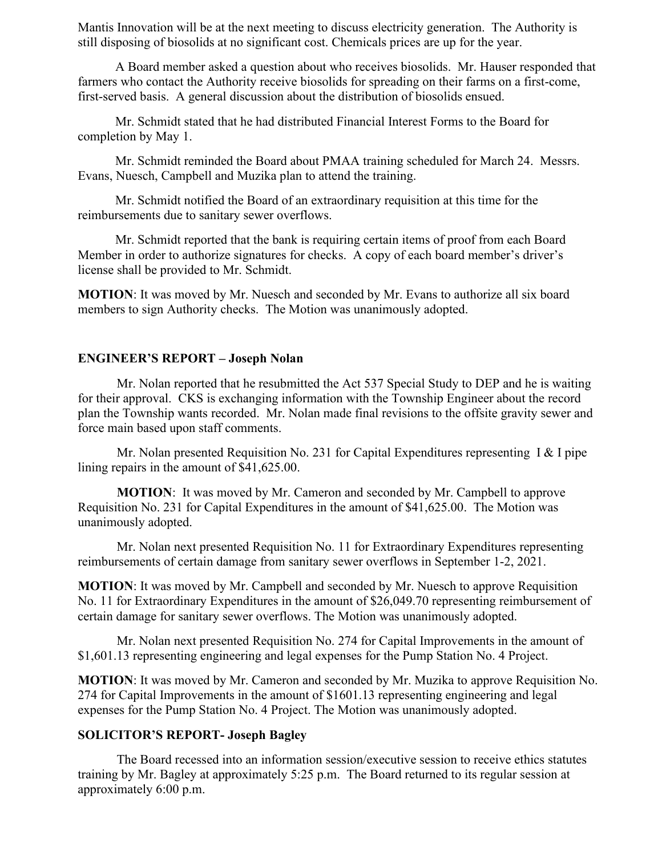Mantis Innovation will be at the next meeting to discuss electricity generation. The Authority is still disposing of biosolids at no significant cost. Chemicals prices are up for the year.

 A Board member asked a question about who receives biosolids. Mr. Hauser responded that farmers who contact the Authority receive biosolids for spreading on their farms on a first-come, first-served basis. A general discussion about the distribution of biosolids ensued.

 Mr. Schmidt stated that he had distributed Financial Interest Forms to the Board for completion by May 1.

 Mr. Schmidt reminded the Board about PMAA training scheduled for March 24. Messrs. Evans, Nuesch, Campbell and Muzika plan to attend the training.

 Mr. Schmidt notified the Board of an extraordinary requisition at this time for the reimbursements due to sanitary sewer overflows.

 Mr. Schmidt reported that the bank is requiring certain items of proof from each Board Member in order to authorize signatures for checks. A copy of each board member's driver's license shall be provided to Mr. Schmidt.

**MOTION**: It was moved by Mr. Nuesch and seconded by Mr. Evans to authorize all six board members to sign Authority checks. The Motion was unanimously adopted.

## **ENGINEER'S REPORT – Joseph Nolan**

Mr. Nolan reported that he resubmitted the Act 537 Special Study to DEP and he is waiting for their approval. CKS is exchanging information with the Township Engineer about the record plan the Township wants recorded. Mr. Nolan made final revisions to the offsite gravity sewer and force main based upon staff comments.

Mr. Nolan presented Requisition No. 231 for Capital Expenditures representing I & I pipe lining repairs in the amount of \$41,625.00.

**MOTION**: It was moved by Mr. Cameron and seconded by Mr. Campbell to approve Requisition No. 231 for Capital Expenditures in the amount of \$41,625.00. The Motion was unanimously adopted.

Mr. Nolan next presented Requisition No. 11 for Extraordinary Expenditures representing reimbursements of certain damage from sanitary sewer overflows in September 1-2, 2021.

**MOTION**: It was moved by Mr. Campbell and seconded by Mr. Nuesch to approve Requisition No. 11 for Extraordinary Expenditures in the amount of \$26,049.70 representing reimbursement of certain damage for sanitary sewer overflows. The Motion was unanimously adopted.

Mr. Nolan next presented Requisition No. 274 for Capital Improvements in the amount of \$1,601.13 representing engineering and legal expenses for the Pump Station No. 4 Project.

**MOTION**: It was moved by Mr. Cameron and seconded by Mr. Muzika to approve Requisition No. 274 for Capital Improvements in the amount of \$1601.13 representing engineering and legal expenses for the Pump Station No. 4 Project. The Motion was unanimously adopted.

## **SOLICITOR'S REPORT- Joseph Bagley**

The Board recessed into an information session/executive session to receive ethics statutes training by Mr. Bagley at approximately 5:25 p.m. The Board returned to its regular session at approximately 6:00 p.m.